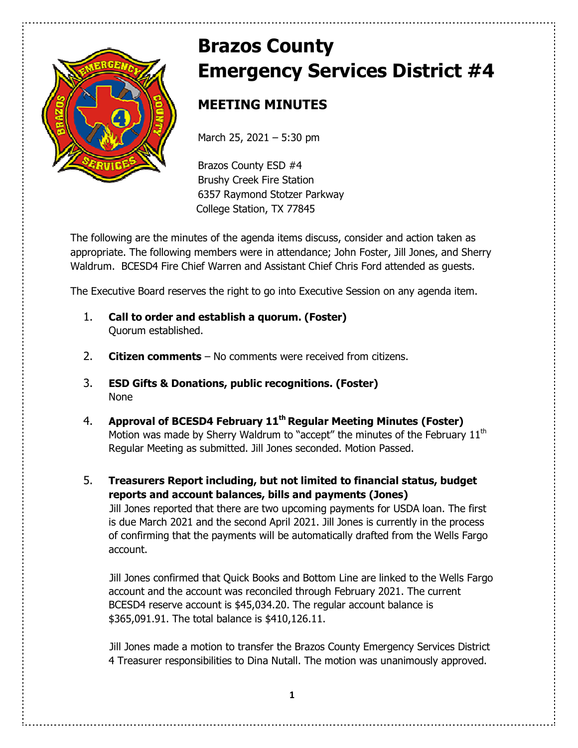

# **Brazos County Emergency Services District #4**

# **MEETING MINUTES**

March 25, 2021 – 5:30 pm

Brazos County ESD #4 Brushy Creek Fire Station 6357 Raymond Stotzer Parkway College Station, TX 77845

The following are the minutes of the agenda items discuss, consider and action taken as appropriate. The following members were in attendance; John Foster, Jill Jones, and Sherry Waldrum. BCESD4 Fire Chief Warren and Assistant Chief Chris Ford attended as guests.

The Executive Board reserves the right to go into Executive Session on any agenda item.

- 1. **Call to order and establish a quorum. (Foster)**  Quorum established.
- 2. **Citizen comments** No comments were received from citizens.
- 3. **ESD Gifts & Donations, public recognitions. (Foster)**  None
- 4. **Approval of BCESD4 February 11th Regular Meeting Minutes (Foster)** Motion was made by Sherry Waldrum to "accept" the minutes of the February 11<sup>th</sup> Regular Meeting as submitted. Jill Jones seconded. Motion Passed.
- 5. **Treasurers Report including, but not limited to financial status, budget reports and account balances, bills and payments (Jones)**

Jill Jones reported that there are two upcoming payments for USDA loan. The first is due March 2021 and the second April 2021. Jill Jones is currently in the process of confirming that the payments will be automatically drafted from the Wells Fargo account.

Jill Jones confirmed that Quick Books and Bottom Line are linked to the Wells Fargo account and the account was reconciled through February 2021. The current BCESD4 reserve account is \$45,034.20. The regular account balance is \$365,091.91. The total balance is \$410,126.11.

Jill Jones made a motion to transfer the Brazos County Emergency Services District 4 Treasurer responsibilities to Dina Nutall. The motion was unanimously approved.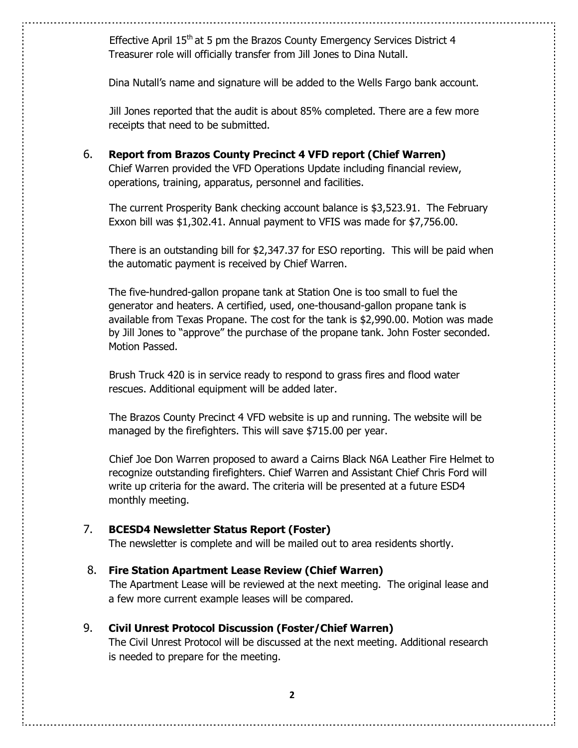Effective April 15<sup>th</sup> at 5 pm the Brazos County Emergency Services District 4 Treasurer role will officially transfer from Jill Jones to Dina Nutall.

Dina Nutall's name and signature will be added to the Wells Fargo bank account.

Jill Jones reported that the audit is about 85% completed. There are a few more receipts that need to be submitted.

6. **Report from Brazos County Precinct 4 VFD report (Chief Warren)**  Chief Warren provided the VFD Operations Update including financial review, operations, training, apparatus, personnel and facilities.

 The current Prosperity Bank checking account balance is \$3,523.91. The February Exxon bill was \$1,302.41. Annual payment to VFIS was made for \$7,756.00.

 There is an outstanding bill for \$2,347.37 for ESO reporting. This will be paid when the automatic payment is received by Chief Warren.

 The five-hundred-gallon propane tank at Station One is too small to fuel the generator and heaters. A certified, used, one-thousand-gallon propane tank is available from Texas Propane. The cost for the tank is \$2,990.00. Motion was made by Jill Jones to "approve" the purchase of the propane tank. John Foster seconded. Motion Passed.

 Brush Truck 420 is in service ready to respond to grass fires and flood water rescues. Additional equipment will be added later.

 The Brazos County Precinct 4 VFD website is up and running. The website will be managed by the firefighters. This will save \$715.00 per year.

 Chief Joe Don Warren proposed to award a Cairns Black N6A Leather Fire Helmet to recognize outstanding firefighters. Chief Warren and Assistant Chief Chris Ford will write up criteria for the award. The criteria will be presented at a future ESD4 monthly meeting.

# 7. **BCESD4 Newsletter Status Report (Foster)**

The newsletter is complete and will be mailed out to area residents shortly.

## 8. **Fire Station Apartment Lease Review (Chief Warren)**

The Apartment Lease will be reviewed at the next meeting. The original lease and a few more current example leases will be compared.

## 9. **Civil Unrest Protocol Discussion (Foster/Chief Warren)**

The Civil Unrest Protocol will be discussed at the next meeting. Additional research is needed to prepare for the meeting.